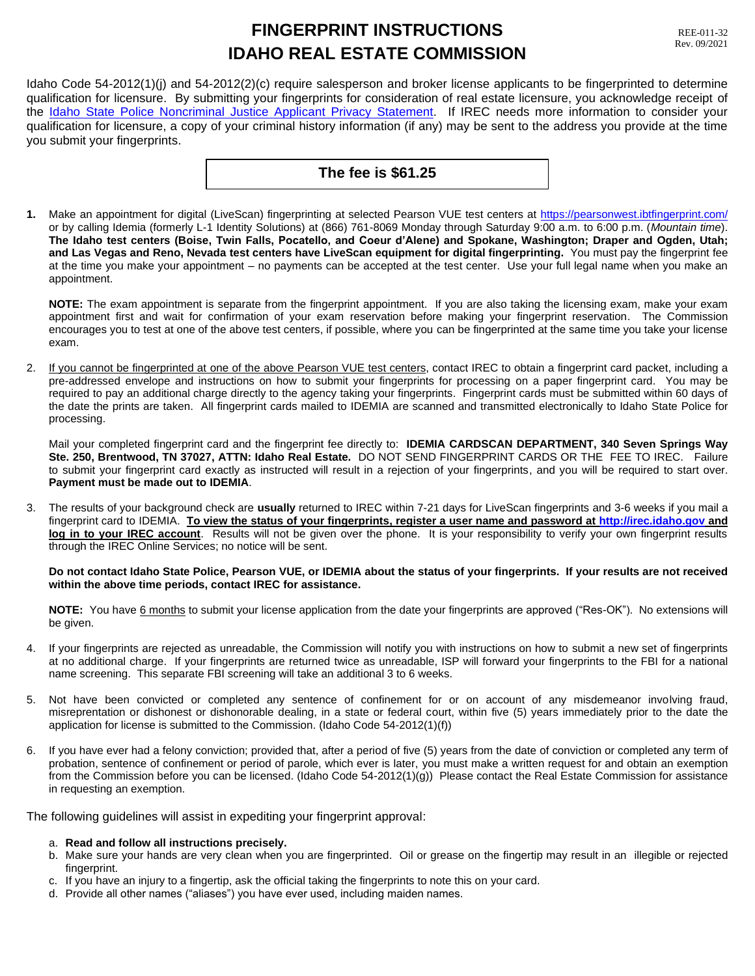# **FINGERPRINT INSTRUCTIONS IDAHO REAL ESTATE COMMISSION**

Idaho Code 54-2012(1)(j) and 54-2012(2)(c) require salesperson and broker license applicants to be fingerprinted to determine qualification for licensure. By submitting your fingerprints for consideration of real estate licensure, you acknowledge receipt of the [Idaho State Police Noncriminal Justice Applicant Privacy Statement.](http://irec.idaho.gov/forms/ISPPrivacyStatement.pdf) If IREC needs more information to consider your qualification for licensure, a copy of your criminal history information (if any) may be sent to the address you provide at the time you submit your fingerprints.

## **The fee is \$61.25**

**1.** Make an appointment for digital (LiveScan) fingerprinting at selected Pearson VUE test centers at<https://pearsonwest.ibtfingerprint.com/> or by calling Idemia (formerly L-1 Identity Solutions) at (866) 761-8069 Monday through Saturday 9:00 a.m. to 6:00 p.m. (*Mountain time*). **The Idaho test centers (Boise, Twin Falls, Pocatello, and Coeur d'Alene) and Spokane, Washington; Draper and Ogden, Utah; and Las Vegas and Reno, Nevada test centers have LiveScan equipment for digital fingerprinting.** You must pay the fingerprint fee at the time you make your appointment – no payments can be accepted at the test center. Use your full legal name when you make an appointment.

**NOTE:** The exam appointment is separate from the fingerprint appointment. If you are also taking the licensing exam, make your exam appointment first and wait for confirmation of your exam reservation before making your fingerprint reservation. The Commission encourages you to test at one of the above test centers, if possible, where you can be fingerprinted at the same time you take your license exam.

2. If you cannot be fingerprinted at one of the above Pearson VUE test centers, contact IREC to obtain a fingerprint card packet, including a pre-addressed envelope and instructions on how to submit your fingerprints for processing on a paper fingerprint card. You may be required to pay an additional charge directly to the agency taking your fingerprints. Fingerprint cards must be submitted within 60 days of the date the prints are taken. All fingerprint cards mailed to IDEMIA are scanned and transmitted electronically to Idaho State Police for processing.

Mail your completed fingerprint card and the fingerprint fee directly to: **IDEMIA CARDSCAN DEPARTMENT, 340 Seven Springs Way Ste. 250, Brentwood, TN 37027, ATTN: Idaho Real Estate.** DO NOT SEND FINGERPRINT CARDS OR THE FEE TO IREC. Failure to submit your fingerprint card exactly as instructed will result in a rejection of your fingerprints, and you will be required to start over. **Payment must be made out to IDEMIA**.

3. The results of your background check are **usually** returned to IREC within 7-21 days for LiveScan fingerprints and 3-6 weeks if you mail a fingerprint card to IDEMIA. **To view the status of your fingerprints, register a user name and password at [http://irec.idaho.gov](http://irec.idaho.gov/) and log in to your IREC account**. Results will not be given over the phone. It is your responsibility to verify your own fingerprint results through the IREC Online Services; no notice will be sent.

#### **Do not contact Idaho State Police, Pearson VUE, or IDEMIA about the status of your fingerprints. If your results are not received within the above time periods, contact IREC for assistance.**

**NOTE:** You have 6 months to submit your license application from the date your fingerprints are approved ("Res-OK"). No extensions will be given.

- 4. If your fingerprints are rejected as unreadable, the Commission will notify you with instructions on how to submit a new set of fingerprints at no additional charge. If your fingerprints are returned twice as unreadable, ISP will forward your fingerprints to the FBI for a national name screening. This separate FBI screening will take an additional 3 to 6 weeks.
- 5. Not have been convicted or completed any sentence of confinement for or on account of any misdemeanor involving fraud, misreprentation or dishonest or dishonorable dealing, in a state or federal court, within five (5) years immediately prior to the date the application for license is submitted to the Commission. (Idaho Code 54-2012(1)(f))
- 6. If you have ever had a felony conviction; provided that, after a period of five (5) years from the date of conviction or completed any term of probation, sentence of confinement or period of parole, which ever is later, you must make a written request for and obtain an exemption from the Commission before you can be licensed. (Idaho Code 54-2012(1)(g)) Please contact the Real Estate Commission for assistance in requesting an exemption.

The following guidelines will assist in expediting your fingerprint approval:

#### a. **Read and follow all instructions precisely.**

- b. Make sure your hands are very clean when you are fingerprinted. Oil or grease on the fingertip may result in an illegible or rejected fingerprint.
- c. If you have an injury to a fingertip, ask the official taking the fingerprints to note this on your card.
- d. Provide all other names ("aliases") you have ever used, including maiden names.